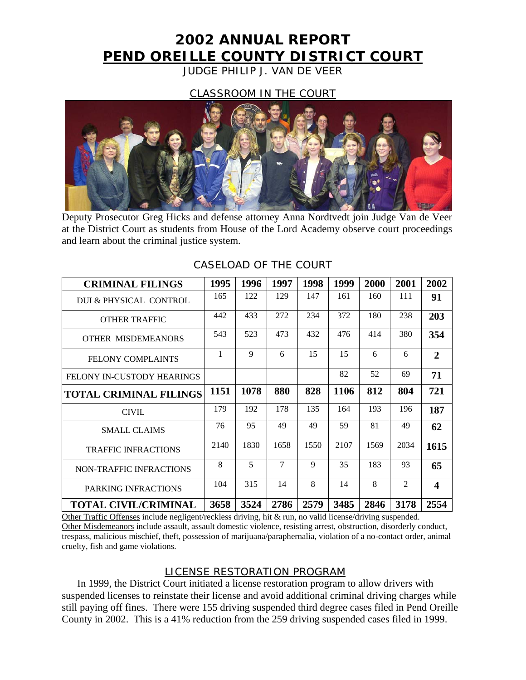# **2002 ANNUAL REPORT PEND OREILLE COUNTY DISTRICT COURT**

JUDGE PHILIP J. VAN DE VEER

## CLASSROOM IN THE COURT



Deputy Prosecutor Greg Hicks and defense attorney Anna Nordtvedt join Judge Van de Veer at the District Court as students from House of the Lord Academy observe court proceedings and learn about the criminal justice system.

| <b>CRIMINAL FILINGS</b>        | 1995 | 1996 | 1997   | 1998 | 1999 | 2000 | 2001 | 2002                    |
|--------------------------------|------|------|--------|------|------|------|------|-------------------------|
| DUI & PHYSICAL CONTROL         | 165  | 122  | 129    | 147  | 161  | 160  | 111  | 91                      |
| <b>OTHER TRAFFIC</b>           | 442  | 433  | 272    | 234  | 372  | 180  | 238  | 203                     |
| <b>OTHER MISDEMEANORS</b>      | 543  | 523  | 473    | 432  | 476  | 414  | 380  | 354                     |
| <b>FELONY COMPLAINTS</b>       | 1    | 9    | 6      | 15   | 15   | 6    | 6    | $\overline{2}$          |
| FELONY IN-CUSTODY HEARINGS     |      |      |        |      | 82   | 52   | 69   | 71                      |
| <b>TOTAL CRIMINAL FILINGS</b>  | 1151 | 1078 | 880    | 828  | 1106 | 812  | 804  | 721                     |
| <b>CIVIL</b>                   | 179  | 192  | 178    | 135  | 164  | 193  | 196  | 187                     |
| <b>SMALL CLAIMS</b>            | 76   | 95   | 49     | 49   | 59   | 81   | 49   | 62                      |
| <b>TRAFFIC INFRACTIONS</b>     | 2140 | 1830 | 1658   | 1550 | 2107 | 1569 | 2034 | 1615                    |
| <b>NON-TRAFFIC INFRACTIONS</b> | 8    | 5    | $\tau$ | 9    | 35   | 183  | 93   | 65                      |
| PARKING INFRACTIONS            | 104  | 315  | 14     | 8    | 14   | 8    | 2    | $\overline{\mathbf{4}}$ |
| <b>TOTAL CIVIL/CRIMINAL</b>    | 3658 | 3524 | 2786   | 2579 | 3485 | 2846 | 3178 | 2554                    |

## CASELOAD OF THE COURT

Other Traffic Offenses include negligent/reckless driving, hit & run, no valid license/driving suspended. Other Misdemeanors include assault, assault domestic violence, resisting arrest, obstruction, disorderly conduct, trespass, malicious mischief, theft, possession of marijuana/paraphernalia, violation of a no-contact order, animal cruelty, fish and game violations.

## LICENSE RESTORATION PROGRAM

In 1999, the District Court initiated a license restoration program to allow drivers with suspended licenses to reinstate their license and avoid additional criminal driving charges while still paying off fines. There were 155 driving suspended third degree cases filed in Pend Oreille County in 2002. This is a 41% reduction from the 259 driving suspended cases filed in 1999.